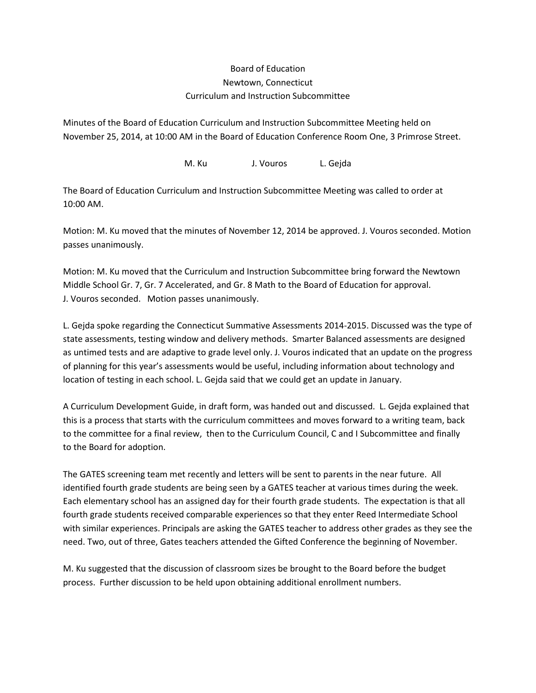## Board of Education Newtown, Connecticut Curriculum and Instruction Subcommittee

Minutes of the Board of Education Curriculum and Instruction Subcommittee Meeting held on November 25, 2014, at 10:00 AM in the Board of Education Conference Room One, 3 Primrose Street.

M. Ku J. Vouros L. Gejda

The Board of Education Curriculum and Instruction Subcommittee Meeting was called to order at 10:00 AM.

Motion: M. Ku moved that the minutes of November 12, 2014 be approved. J. Vouros seconded. Motion passes unanimously.

Motion: M. Ku moved that the Curriculum and Instruction Subcommittee bring forward the Newtown Middle School Gr. 7, Gr. 7 Accelerated, and Gr. 8 Math to the Board of Education for approval. J. Vouros seconded. Motion passes unanimously.

L. Gejda spoke regarding the Connecticut Summative Assessments 2014-2015. Discussed was the type of state assessments, testing window and delivery methods. Smarter Balanced assessments are designed as untimed tests and are adaptive to grade level only. J. Vouros indicated that an update on the progress of planning for this year's assessments would be useful, including information about technology and location of testing in each school. L. Gejda said that we could get an update in January.

A Curriculum Development Guide, in draft form, was handed out and discussed. L. Gejda explained that this is a process that starts with the curriculum committees and moves forward to a writing team, back to the committee for a final review, then to the Curriculum Council, C and I Subcommittee and finally to the Board for adoption.

The GATES screening team met recently and letters will be sent to parents in the near future. All identified fourth grade students are being seen by a GATES teacher at various times during the week. Each elementary school has an assigned day for their fourth grade students. The expectation is that all fourth grade students received comparable experiences so that they enter Reed Intermediate School with similar experiences. Principals are asking the GATES teacher to address other grades as they see the need. Two, out of three, Gates teachers attended the Gifted Conference the beginning of November.

M. Ku suggested that the discussion of classroom sizes be brought to the Board before the budget process. Further discussion to be held upon obtaining additional enrollment numbers.